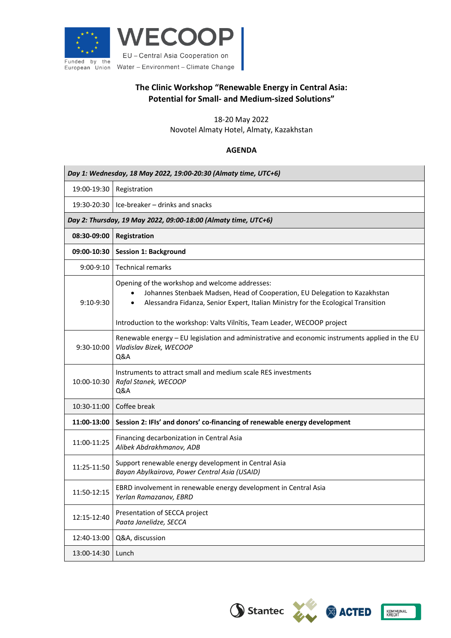



## **The Clinic Workshop "Renewable Energy in Central Asia: Potential for Small- and Medium-sized Solutions"**

18-20 May 2022

Novotel Almaty Hotel, Almaty, Kazakhstan

## **AGENDA**

| Day 1: Wednesday, 18 May 2022, 19:00-20:30 (Almaty time, UTC+6) |                                                                                                                                                                                                                                                                                                             |  |
|-----------------------------------------------------------------|-------------------------------------------------------------------------------------------------------------------------------------------------------------------------------------------------------------------------------------------------------------------------------------------------------------|--|
| 19:00-19:30                                                     | Registration                                                                                                                                                                                                                                                                                                |  |
| 19:30-20:30                                                     | Ice-breaker - drinks and snacks                                                                                                                                                                                                                                                                             |  |
| Day 2: Thursday, 19 May 2022, 09:00-18:00 (Almaty time, UTC+6)  |                                                                                                                                                                                                                                                                                                             |  |
| 08:30-09:00                                                     | Registration                                                                                                                                                                                                                                                                                                |  |
| 09:00-10:30                                                     | <b>Session 1: Background</b>                                                                                                                                                                                                                                                                                |  |
| $9:00-9:10$                                                     | <b>Technical remarks</b>                                                                                                                                                                                                                                                                                    |  |
| $9:10-9:30$                                                     | Opening of the workshop and welcome addresses:<br>Johannes Stenbaek Madsen, Head of Cooperation, EU Delegation to Kazakhstan<br>$\bullet$<br>Alessandra Fidanza, Senior Expert, Italian Ministry for the Ecological Transition<br>Introduction to the workshop: Valts Vilnitis, Team Leader, WECOOP project |  |
| 9:30-10:00                                                      | Renewable energy - EU legislation and administrative and economic instruments applied in the EU<br>Vladislav Bizek, WECOOP<br>Q&A                                                                                                                                                                           |  |
| 10:00-10:30                                                     | Instruments to attract small and medium scale RES investments<br>Rafal Stanek, WECOOP<br>Q&A                                                                                                                                                                                                                |  |
| 10:30-11:00                                                     | Coffee break                                                                                                                                                                                                                                                                                                |  |
| 11:00-13:00                                                     | Session 2: IFIs' and donors' co-financing of renewable energy development                                                                                                                                                                                                                                   |  |
| 11:00-11:25                                                     | Financing decarbonization in Central Asia<br>Alibek Abdrakhmanov, ADB                                                                                                                                                                                                                                       |  |
| 11:25-11:50                                                     | Support renewable energy development in Central Asia<br>Bayan Abylkairova, Power Central Asia (USAID)                                                                                                                                                                                                       |  |
| 11:50-12:15                                                     | EBRD involvement in renewable energy development in Central Asia<br>Yerlan Ramazanov, EBRD                                                                                                                                                                                                                  |  |
| 12:15-12:40                                                     | Presentation of SECCA project<br>Paata Janelidze, SECCA                                                                                                                                                                                                                                                     |  |
| 12:40-13:00                                                     | Q&A, discussion                                                                                                                                                                                                                                                                                             |  |
| 13:00-14:30                                                     | Lunch                                                                                                                                                                                                                                                                                                       |  |